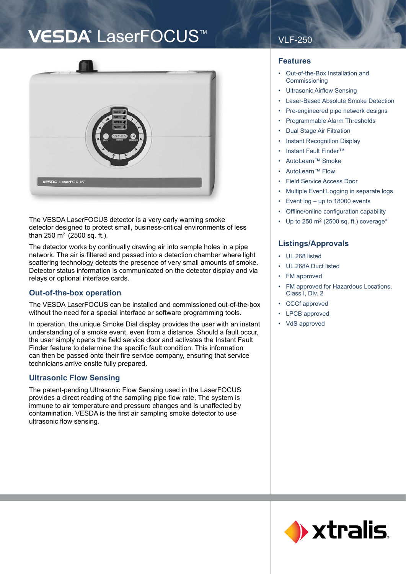# VESDA<sup>®</sup> LaserFOCUS<sup>™</sup>



The VESDA LaserFOCUS detector is a very early warning smoke detector designed to protect small, business-critical environments of less than 250 m2 (2500 sq. ft.).

The detector works by continually drawing air into sample holes in a pipe network. The air is filtered and passed into a detection chamber where light scattering technology detects the presence of very small amounts of smoke. Detector status information is communicated on the detector display and via relays or optional interface cards.

## **Out-of-the-box operation**

The VESDA LaserFOCUS can be installed and commissioned out-of-the-box without the need for a special interface or software programming tools.

In operation, the unique Smoke Dial display provides the user with an instant understanding of a smoke event, even from a distance. Should a fault occur, the user simply opens the field service door and activates the Instant Fault Finder feature to determine the specific fault condition. This information can then be passed onto their fire service company, ensuring that service technicians arrive onsite fully prepared.

## **Ultrasonic Flow Sensing**

The patent-pending Ultrasonic Flow Sensing used in the LaserFOCUS provides a direct reading of the sampling pipe flow rate. The system is immune to air temperature and pressure changes and is unaffected by contamination. VESDA is the first air sampling smoke detector to use ultrasonic flow sensing.

## VLF-250

## **Features**

- Out-of-the-Box Installation and Commissioning
- Ultrasonic Airflow Sensing
- Laser-Based Absolute Smoke Detection
- Pre-engineered pipe network designs
- Programmable Alarm Thresholds
- **Dual Stage Air Filtration**
- Instant Recognition Display
- Instant Fault Finder™
- AutoLearn™ Smoke
- AutoLearn™ Flow
- Field Service Access Door
- Multiple Event Logging in separate logs
- Event log up to 18000 events
- Offline/online configuration capability
- Up to 250 m2 (2500 sq. ft.) coverage\*

## **Listings/Approvals**

- UL 268 listed
- UL 268A Duct listed
- FM approved
- FM approved for Hazardous Locations, Class I, Div. 2
- CCCf approved
- LPCB approved
- VdS approved